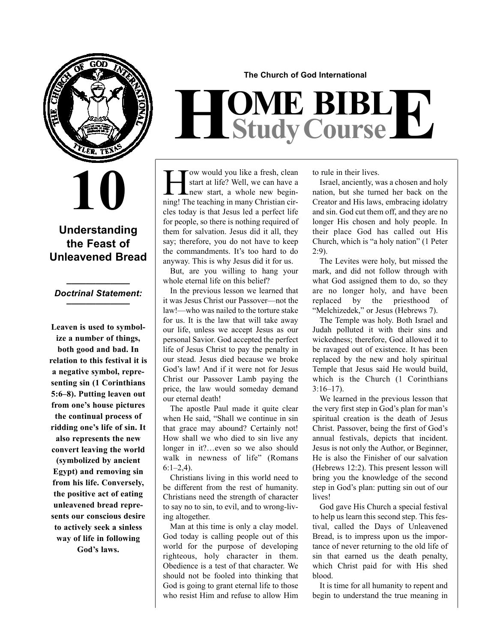

**10**

### **Understanding the Feast of Unleavened Bread**

### **\_\_\_\_\_\_\_\_\_\_\_\_\_** *Doctrinal Statement:* **\_\_\_\_\_\_\_\_\_\_\_\_\_**

**Leaven is used to symbolize a number of things, both good and bad. In relation to this festival it is a negative symbol, representing sin (1 Corinthians 5:6–8). Putting leaven out from one's house pictures the continual process of ridding one's life of sin. It also represents the new convert leaving the world (symbolized by ancient Egypt) and removing sin from his life. Conversely, the positive act of eating unleavened bread represents our conscious desire to actively seek a sinless way of life in following God's laws.**

**The Church of God International**

# $H$ **Study Course**

I Jow would you like a fresh, clean<br>start at life? Well, we can have a<br>new start, a whole new begin-<br>ningl The teaching in many Christian cir. start at life? Well, we can have a ning! The teaching in many Christian circles today is that Jesus led a perfect life for people, so there is nothing required of them for salvation. Jesus did it all, they say; therefore, you do not have to keep the commandments. It's too hard to do anyway. This is why Jesus did it for us.

But, are you willing to hang your whole eternal life on this belief?

In the previous lesson we learned that it was Jesus Christ our Passover—not the law!—who was nailed to the torture stake for us. It is the law that will take away our life, unless we accept Jesus as our personal Savior. God accepted the perfect life of Jesus Christ to pay the penalty in our stead. Jesus died because we broke God's law! And if it were not for Jesus Christ our Passover Lamb paying the price, the law would someday demand our eternal death!

The apostle Paul made it quite clear when He said, "Shall we continue in sin that grace may abound? Certainly not! How shall we who died to sin live any longer in it?…even so we also should walk in newness of life" (Romans  $6:1-2,4$ ).

Christians living in this world need to be different from the rest of humanity. Christians need the strength of character to say no to sin, to evil, and to wrong-living altogether.

Man at this time is only a clay model. God today is calling people out of this world for the purpose of developing righteous, holy character in them. Obedience is a test of that character. We should not be fooled into thinking that God is going to grant eternal life to those who resist Him and refuse to allow Him to rule in their lives.

Israel, anciently, was a chosen and holy nation, but she turned her back on the Creator and His laws, embracing idolatry and sin. God cut them off, and they are no longer His chosen and holy people. In their place God has called out His Church, which is "a holy nation" (1 Peter 2:9).

The Levites were holy, but missed the mark, and did not follow through with what God assigned them to do, so they are no longer holy, and have been replaced by the priesthood of "Melchizedek," or Jesus (Hebrews 7).

The Temple was holy. Both Israel and Judah polluted it with their sins and wickedness; therefore, God allowed it to be ravaged out of existence. It has been replaced by the new and holy spiritual Temple that Jesus said He would build, which is the Church (1 Corinthians 3:16–17).

We learned in the previous lesson that the very first step in God's plan for man's spiritual creation is the death of Jesus Christ. Passover, being the first of God's annual festivals, depicts that incident. Jesus is not only the Author, or Beginner, He is also the Finisher of our salvation (Hebrews 12:2). This present lesson will bring you the knowledge of the second step in God's plan: putting sin out of our lives!

God gave His Church a special festival to help us learn this second step. This festival, called the Days of Unleavened Bread, is to impress upon us the importance of never returning to the old life of sin that earned us the death penalty, which Christ paid for with His shed blood.

It is time for all humanity to repent and begin to understand the true meaning in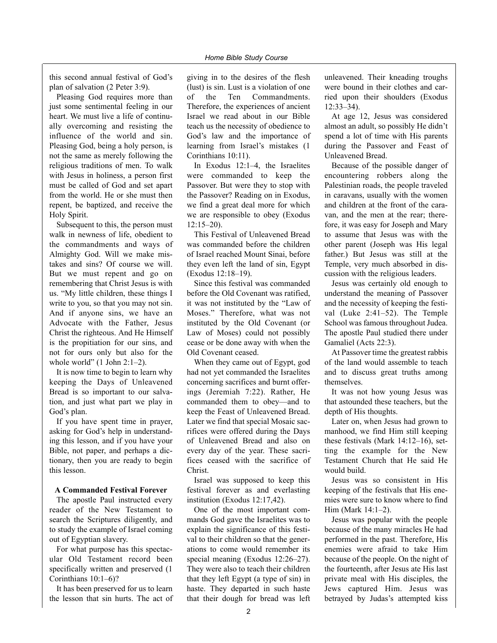this second annual festival of God's plan of salvation (2 Peter 3:9).

Pleasing God requires more than just some sentimental feeling in our heart. We must live a life of continually overcoming and resisting the influence of the world and sin. Pleasing God, being a holy person, is not the same as merely following the religious traditions of men. To walk with Jesus in holiness, a person first must be called of God and set apart from the world. He or she must then repent, be baptized, and receive the Holy Spirit.

Subsequent to this, the person must walk in newness of life, obedient to the commandments and ways of Almighty God. Will we make mistakes and sins? Of course we will. But we must repent and go on remembering that Christ Jesus is with us. "My little children, these things I write to you, so that you may not sin. And if anyone sins, we have an Advocate with the Father, Jesus Christ the righteous. And He Himself is the propitiation for our sins, and not for ours only but also for the whole world"  $(1$  John  $2:1-2$ ).

It is now time to begin to learn why keeping the Days of Unleavened Bread is so important to our salvation, and just what part we play in God's plan.

If you have spent time in prayer, asking for God's help in understanding this lesson, and if you have your Bible, not paper, and perhaps a dictionary, then you are ready to begin this lesson.

#### **A Commanded Festival Forever**

The apostle Paul instructed every reader of the New Testament to search the Scriptures diligently, and to study the example of Israel coming out of Egyptian slavery.

For what purpose has this spectacular Old Testament record been specifically written and preserved (1 Corinthians 10:1–6)?

It has been preserved for us to learn the lesson that sin hurts. The act of giving in to the desires of the flesh (lust) is sin. Lust is a violation of one of the Ten Commandments. Therefore, the experiences of ancient Israel we read about in our Bible teach us the necessity of obedience to God's law and the importance of learning from Israel's mistakes (1 Corinthians 10:11).

In Exodus 12:1–4, the Israelites were commanded to keep the Passover. But were they to stop with the Passover? Reading on in Exodus, we find a great deal more for which we are responsible to obey (Exodus 12:15–20).

This Festival of Unleavened Bread was commanded before the children of Israel reached Mount Sinai, before they even left the land of sin, Egypt (Exodus 12:18–19).

Since this festival was commanded before the Old Covenant was ratified, it was not instituted by the "Law of Moses." Therefore, what was not instituted by the Old Covenant (or Law of Moses) could not possibly cease or be done away with when the Old Covenant ceased.

When they came out of Egypt, god had not yet commanded the Israelites concerning sacrifices and burnt offerings (Jeremiah 7:22). Rather, He commanded them to obey—and to keep the Feast of Unleavened Bread. Later we find that special Mosaic sacrifices were offered during the Days of Unleavened Bread and also on every day of the year. These sacrifices ceased with the sacrifice of Christ.

Israel was supposed to keep this festival forever as and everlasting institution (Exodus 12:17,42).

One of the most important commands God gave the Israelites was to explain the significance of this festival to their children so that the generations to come would remember its special meaning (Exodus 12:26–27). They were also to teach their children that they left Egypt (a type of sin) in haste. They departed in such haste that their dough for bread was left unleavened. Their kneading troughs were bound in their clothes and carried upon their shoulders (Exodus 12:33–34).

At age 12, Jesus was considered almost an adult, so possibly He didn't spend a lot of time with His parents during the Passover and Feast of Unleavened Bread.

Because of the possible danger of encountering robbers along the Palestinian roads, the people traveled in caravans, usually with the women and children at the front of the caravan, and the men at the rear; therefore, it was easy for Joseph and Mary to assume that Jesus was with the other parent (Joseph was His legal father.) But Jesus was still at the Temple, very much absorbed in discussion with the religious leaders.

Jesus was certainly old enough to understand the meaning of Passover and the necessity of keeping the festival (Luke 2:41–52). The Temple School was famous throughout Judea. The apostle Paul studied there under Gamaliel (Acts 22:3).

At Passover time the greatest rabbis of the land would assemble to teach and to discuss great truths among themselves.

It was not how young Jesus was that astounded these teachers, but the depth of His thoughts.

Later on, when Jesus had grown to manhood, we find Him still keeping these festivals (Mark 14:12–16), setting the example for the New Testament Church that He said He would build.

Jesus was so consistent in His keeping of the festivals that His enemies were sure to know where to find Him (Mark 14:1–2).

Jesus was popular with the people because of the many miracles He had performed in the past. Therefore, His enemies were afraid to take Him because of the people. On the night of the fourteenth, after Jesus ate His last private meal with His disciples, the Jews captured Him. Jesus was betrayed by Judas's attempted kiss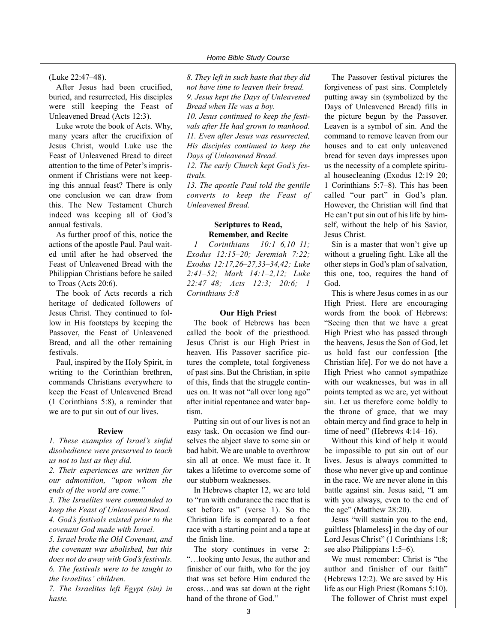#### (Luke 22:47–48).

After Jesus had been crucified, buried, and resurrected, His disciples were still keeping the Feast of Unleavened Bread (Acts 12:3).

Luke wrote the book of Acts. Why, many years after the crucifixion of Jesus Christ, would Luke use the Feast of Unleavened Bread to direct attention to the time of Peter's imprisonment if Christians were not keeping this annual feast? There is only one conclusion we can draw from this. The New Testament Church indeed was keeping all of God's annual festivals.

As further proof of this, notice the actions of the apostle Paul. Paul waited until after he had observed the Feast of Unleavened Bread with the Philippian Christians before he sailed to Troas (Acts 20:6).

The book of Acts records a rich heritage of dedicated followers of Jesus Christ. They continued to follow in His footsteps by keeping the Passover, the Feast of Unleavened Bread, and all the other remaining festivals.

Paul, inspired by the Holy Spirit, in writing to the Corinthian brethren, commands Christians everywhere to keep the Feast of Unleavened Bread (1 Corinthians 5:8), a reminder that we are to put sin out of our lives.

#### **Review**

*1. These examples of Israel's sinful disobedience were preserved to teach us not to lust as they did.*

*2. Their experiences are written for our admonition, "upon whom the ends of the world are come."*

*3. The Israelites were commanded to keep the Feast of Unleavened Bread. 4. God's festivals existed prior to the covenant God made with Israel.*

*5. Israel broke the Old Covenant, and the covenant was abolished, but this does not do away with God's festivals. 6. The festivals were to be taught to the Israelites' children.*

*7. The Israelites left Egypt (sin) in haste.*

*8. They left in such haste that they did not have time to leaven their bread. 9. Jesus kept the Days of Unleavened Bread when He was a boy.*

*10. Jesus continued to keep the festivals after He had grown to manhood. 11. Even after Jesus was resurrected, His disciples continued to keep the Days of Unleavened Bread.*

*12. The early Church kept God's festivals.*

*13. The apostle Paul told the gentile converts to keep the Feast of Unleavened Bread.*

#### **Scriptures to Read, Remember, and Recite**

*1 Corinthians 10:1–6,10–11; Exodus 12:15–20; Jeremiah 7:22; Exodus 12:17,26–27,33–34,42; Luke 2:41–52; Mark 14:1–2,12; Luke 22:47–48; Acts 12:3; 20:6; 1 Corinthians 5:8*

#### **Our High Priest**

The book of Hebrews has been called the book of the priesthood. Jesus Christ is our High Priest in heaven. His Passover sacrifice pictures the complete, total forgiveness of past sins. But the Christian, in spite of this, finds that the struggle continues on. It was not "all over long ago" after initial repentance and water baptism.

Putting sin out of our lives is not an easy task. On occasion we find ourselves the abject slave to some sin or bad habit. We are unable to overthrow sin all at once. We must face it. It takes a lifetime to overcome some of our stubborn weaknesses.

In Hebrews chapter 12, we are told to "run with endurance the race that is set before us" (verse 1). So the Christian life is compared to a foot race with a starting point and a tape at the finish line.

The story continues in verse 2: "…looking unto Jesus, the author and finisher of our faith, who for the joy that was set before Him endured the cross…and was sat down at the right hand of the throne of God."

The Passover festival pictures the forgiveness of past sins. Completely putting away sin (symbolized by the Days of Unleavened Bread) fills in the picture begun by the Passover. Leaven is a symbol of sin. And the command to remove leaven from our houses and to eat only unleavened bread for seven days impresses upon us the necessity of a complete spiritual housecleaning (Exodus 12:19–20; 1 Corinthians 5:7–8). This has been called "our part" in God's plan. However, the Christian will find that He can't put sin out of his life by himself, without the help of his Savior, Jesus Christ.

Sin is a master that won't give up without a grueling fight. Like all the other steps in God's plan of salvation, this one, too, requires the hand of God.

This is where Jesus comes in as our High Priest. Here are encouraging words from the book of Hebrews: "Seeing then that we have a great High Priest who has passed through the heavens, Jesus the Son of God, let us hold fast our confession [the Christian life]. For we do not have a High Priest who cannot sympathize with our weaknesses, but was in all points tempted as we are, yet without sin. Let us therefore come boldly to the throne of grace, that we may obtain mercy and find grace to help in time of need" (Hebrews 4:14–16).

Without this kind of help it would be impossible to put sin out of our lives. Jesus is always committed to those who never give up and continue in the race. We are never alone in this battle against sin. Jesus said, "I am with you always, even to the end of the age" (Matthew 28:20).

Jesus "will sustain you to the end, guiltless [blameless] in the day of our Lord Jesus Christ" (1 Corinthians 1:8; see also Philippians 1:5–6).

We must remember: Christ is "the author and finisher of our faith" (Hebrews 12:2). We are saved by His life as our High Priest (Romans 5:10). The follower of Christ must expel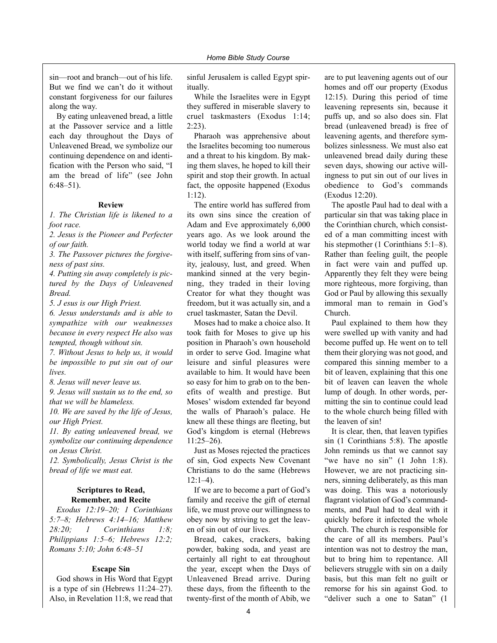sin—root and branch—out of his life. But we find we can't do it without constant forgiveness for our failures along the way.

By eating unleavened bread, a little at the Passover service and a little each day throughout the Days of Unleavened Bread, we symbolize our continuing dependence on and identification with the Person who said, "I am the bread of life" (see John 6:48–51).

#### **Review**

*1. The Christian life is likened to a foot race.*

*2. Jesus is the Pioneer and Perfecter of our faith.*

*3. The Passover pictures the forgiveness of past sins.*

*4. Putting sin away completely is pictured by the Days of Unleavened Bread.*

*5. J esus is our High Priest.*

*6. Jesus understands and is able to sympathize with our weaknesses because in every respect He also was tempted, though without sin.*

*7. Without Jesus to help us, it would be impossible to put sin out of our lives.*

*8. Jesus will never leave us.*

*9. Jesus will sustain us to the end, so that we will be blameless.*

*10. We are saved by the life of Jesus, our High Priest.*

*11. By eating unleavened bread, we symbolize our continuing dependence on Jesus Christ.*

*12. Symbolically, Jesus Christ is the bread of life we must eat.*

#### **Scriptures to Read, Remember, and Recite**

*Exodus 12:19–20; 1 Corinthians 5:7–8; Hebrews 4:14–16; Matthew 28:20; 1 Corinthians 1:8; Philippians 1:5–6; Hebrews 12:2; Romans 5:10; John 6:48–51*

#### **Escape Sin**

God shows in His Word that Egypt is a type of sin (Hebrews 11:24–27). Also, in Revelation 11:8, we read that

sinful Jerusalem is called Egypt spiritually.

While the Israelites were in Egypt they suffered in miserable slavery to cruel taskmasters (Exodus 1:14;  $2:23$ ).

Pharaoh was apprehensive about the Israelites becoming too numerous and a threat to his kingdom. By making them slaves, he hoped to kill their spirit and stop their growth. In actual fact, the opposite happened (Exodus 1:12).

The entire world has suffered from its own sins since the creation of Adam and Eve approximately 6,000 years ago. As we look around the world today we find a world at war with itself, suffering from sins of vanity, jealousy, lust, and greed. When mankind sinned at the very beginning, they traded in their loving Creator for what they thought was freedom, but it was actually sin, and a cruel taskmaster, Satan the Devil.

Moses had to make a choice also. It took faith for Moses to give up his position in Pharaoh's own household in order to serve God. Imagine what leisure and sinful pleasures were available to him. It would have been so easy for him to grab on to the benefits of wealth and prestige. But Moses' wisdom extended far beyond the walls of Pharaoh's palace. He knew all these things are fleeting, but God's kingdom is eternal (Hebrews 11:25–26).

Just as Moses rejected the practices of sin, God expects New Covenant Christians to do the same (Hebrews  $12:1-4$ ).

If we are to become a part of God's family and receive the gift of eternal life, we must prove our willingness to obey now by striving to get the leaven of sin out of our lives.

Bread, cakes, crackers, baking powder, baking soda, and yeast are certainly all right to eat throughout the year, except when the Days of Unleavened Bread arrive. During these days, from the fifteenth to the twenty-first of the month of Abib, we

are to put leavening agents out of our homes and off our property (Exodus 12:15). During this period of time leavening represents sin, because it puffs up, and so also does sin. Flat bread (unleavened bread) is free of leavening agents, and therefore symbolizes sinlessness. We must also eat unleavened bread daily during these seven days, showing our active willingness to put sin out of our lives in obedience to God's commands (Exodus 12:20).

The apostle Paul had to deal with a particular sin that was taking place in the Corinthian church, which consisted of a man committing incest with his stepmother (1 Corinthians 5:1–8). Rather than feeling guilt, the people in fact were vain and puffed up. Apparently they felt they were being more righteous, more forgiving, than God or Paul by allowing this sexually immoral man to remain in God's Church.

Paul explained to them how they were swelled up with vanity and had become puffed up. He went on to tell them their glorying was not good, and compared this sinning member to a bit of leaven, explaining that this one bit of leaven can leaven the whole lump of dough. In other words, permitting the sin to continue could lead to the whole church being filled with the leaven of sin!

It is clear, then, that leaven typifies sin (1 Corinthians 5:8). The apostle John reminds us that we cannot say "we have no sin"  $(1$  John 1:8). However, we are not practicing sinners, sinning deliberately, as this man was doing. This was a notoriously flagrant violation of God's commandments, and Paul had to deal with it quickly before it infected the whole church. The church is responsible for the care of all its members. Paul's intention was not to destroy the man, but to bring him to repentance. All believers struggle with sin on a daily basis, but this man felt no guilt or remorse for his sin against God. to "deliver such a one to Satan" (1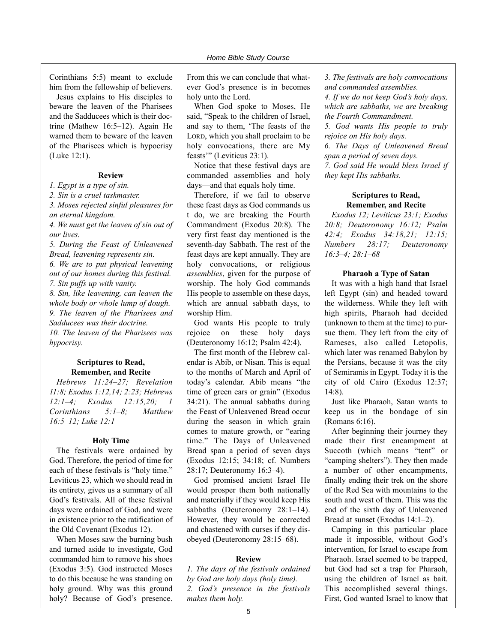Corinthians 5:5) meant to exclude him from the fellowship of believers.

Jesus explains to His disciples to beware the leaven of the Pharisees and the Sadducees which is their doctrine (Mathew 16:5–12). Again He warned them to beware of the leaven of the Pharisees which is hypocrisy (Luke 12:1).

#### **Review**

*1. Egypt is a type of sin.*

*2. Sin is a cruel taskmaster.*

*3. Moses rejected sinful pleasures for an eternal kingdom.*

*4. We must get the leaven of sin out of our lives.*

*5. During the Feast of Unleavened Bread, leavening represents sin. 6. We are to put physical leavening out of our homes during this festival. 7. Sin puffs up with vanity. 8. Sin, like leavening, can leaven the whole body or whole lump of dough. 9. The leaven of the Pharisees and Sadducees was their doctrine.*

*10. The leaven of the Pharisees was hypocrisy.*

#### **Scriptures to Read, Remember, and Recite**

*Hebrews 11:24–27; Revelation 11:8; Exodus 1:12,14; 2:23; Hebrews 12:1–4; Exodus 12:15,20; 1 Corinthians 5:1–8; Matthew 16:5–12; Luke 12:1*

#### **Holy Time**

The festivals were ordained by God. Therefore, the period of time for each of these festivals is "holy time." Leviticus 23, which we should read in its entirety, gives us a summary of all God's festivals. All of these festival days were ordained of God, and were in existence prior to the ratification of the Old Covenant (Exodus 12).

When Moses saw the burning bush and turned aside to investigate, God commanded him to remove his shoes (Exodus 3:5). God instructed Moses to do this because he was standing on holy ground. Why was this ground holy? Because of God's presence.

From this we can conclude that whatever God's presence is in becomes holy unto the Lord.

When God spoke to Moses, He said, "Speak to the children of Israel, and say to them, 'The feasts of the LORD, which you shall proclaim to be holy convocations, there are My feasts'" (Leviticus 23:1).

Notice that these festival days are commanded assemblies and holy days—and that equals holy time.

Therefore, if we fail to observe these feast days as God commands us t do, we are breaking the Fourth Commandment (Exodus 20:8). The very first feast day mentioned is the seventh-day Sabbath. The rest of the feast days are kept annually. They are holy convocations, or religious *assemblies*, given for the purpose of worship. The holy God commands His people to assemble on these days, which are annual sabbath days, to worship Him.

God wants His people to truly rejoice on these holy days (Deuteronomy 16:12; Psalm 42:4).

The first month of the Hebrew calendar is Abib, or Nisan. This is equal to the months of March and April of today's calendar. Abib means "the time of green ears or grain" (Exodus 34:21). The annual sabbaths during the Feast of Unleavened Bread occur during the season in which grain comes to mature growth, or "earing time." The Days of Unleavened Bread span a period of seven days (Exodus 12:15; 34:18; cf. Numbers 28:17; Deuteronomy 16:3–4).

God promised ancient Israel He would prosper them both nationally and materially if they would keep His sabbaths (Deuteronomy 28:1–14). However, they would be corrected and chastened with curses if they disobeyed (Deuteronomy 28:15–68).

#### **Review**

*1. The days of the festivals ordained by God are holy days (holy time). 2. God's presence in the festivals makes them holy.*

*3. The festivals are holy convocations and commanded assemblies. 4. If we do not keep God's holy days,*

*which are sabbaths, we are breaking the Fourth Commandment.*

*5. God wants His people to truly rejoice on His holy days.*

*6. The Days of Unleavened Bread span a period of seven days. 7. God said He would bless Israel if they kept His sabbaths.*

#### **Scriptures to Read, Remember, and Recite**

*Exodus 12; Leviticus 23:1; Exodus 20:8; Deuteronomy 16:12; Psalm 42:4; Exodus 34:18,21; 12:15; Numbers 28:17; Deuteronomy 16:3–4; 28:1–68*

#### **Pharaoh a Type of Satan**

It was with a high hand that Israel left Egypt (sin) and headed toward the wilderness. While they left with high spirits, Pharaoh had decided (unknown to them at the time) to pursue them. They left from the city of Rameses, also called Letopolis, which later was renamed Babylon by the Persians, because it was the city of Semiramis in Egypt. Today it is the city of old Cairo (Exodus 12:37; 14:8).

Just like Pharaoh, Satan wants to keep us in the bondage of sin (Romans 6:16).

After beginning their journey they made their first encampment at Succoth (which means "tent" or "camping shelters"). They then made a number of other encampments, finally ending their trek on the shore of the Red Sea with mountains to the south and west of them. This was the end of the sixth day of Unleavened Bread at sunset (Exodus 14:1–2).

Camping in this particular place made it impossible, without God's intervention, for Israel to escape from Pharaoh. Israel seemed to be trapped, but God had set a trap for Pharaoh, using the children of Israel as bait. This accomplished several things. First, God wanted Israel to know that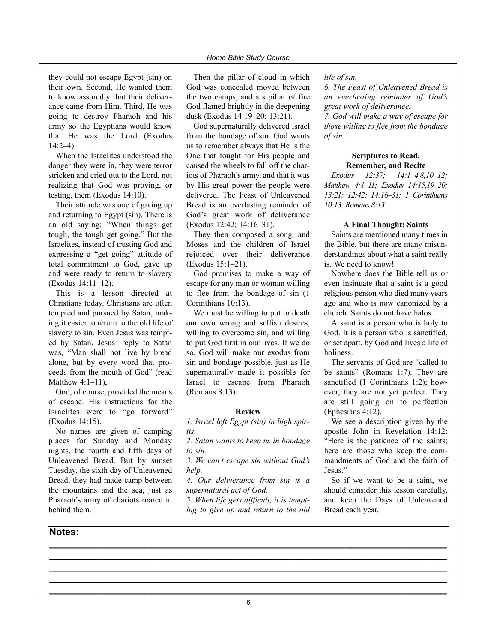they could not escape Egypt (sin) on their own. Second, He wanted them to know assuredly that their deliverance came from Him. Third, He was going to destroy Pharaoh and his army so the Egyptians would know that He was the Lord (Exodus 14:2–4).

When the Israelites understood the danger they were in, they were terror stricken and cried out to the Lord, not realizing that God was proving, or testing, them (Exodus 14:10).

Their attitude was one of giving up and returning to Egypt (sin). There is an old saying: "When things get tough, the tough get going." But the Israelites, instead of trusting God and expressing a "get going" attitude of total commitment to God, gave up and were ready to return to slavery (Exodus 14:11–12).

This is a lesson directed at Christians today. Christians are often tempted and pursued by Satan, making it easier to return to the old life of slavery to sin. Even Jesus was tempted by Satan. Jesus' reply to Satan was, "Man shall not live by bread alone, but by every word that proceeds from the mouth of God" (read Matthew  $4:1-11$ ),

God, of course, provided the means of escape. His instructions for the Israelites were to "go forward" (Exodus 14:15).

No names are given of camping places for Sunday and Monday nights, the fourth and fifth days of Unleavened Bread. But by sunset Tuesday, the sixth day of Unleavened Bread, they had made camp between the mountains and the sea, just as Pharaoh's army of chariots roared in behind them.

#### **Notes:**

Then the pillar of cloud in which God was concealed moved between the two camps, and a s pillar of fire God flamed brightly in the deepening dusk (Exodus 14:19–20; 13:21).

God supernaturally delivered Israel from the bondage of sin. God wants us to remember always that He is the One that fought for His people and caused the wheels to fall off the chariots of Pharaoh's army, and that it was by His great power the people were delivered. The Feast of Unleavened Bread is an everlasting reminder of God's great work of deliverance (Exodus 12:42; 14:16–31).

They then composed a song, and Moses and the children of Israel rejoiced over their deliverance (Exodus 15:1–21).

God promises to make a way of escape for any man or woman willing to flee from the bondage of sin (1 Corinthians 10:13).

We must be willing to put to death our own wrong and selfish desires, willing to overcome sin, and willing to put God first in our lives. If we do so, God will make our exodus from sin and bondage possible, just as He supernaturally made it possible for Israel to escape from Pharaoh (Romans 8:13).

#### **Review**

*1. Israel left Egypt (sin) in high spirits.*

*2. Satan wants to keep us in bondage to sin.*

*3. We can't escape sin without God's help.*

*4. Our deliverance from sin is a supernatural act of God.*

*5. When life gets difficult, it is tempting to give up and return to the old*

**\_\_\_\_\_\_\_\_\_\_\_\_\_\_\_\_\_\_\_\_\_\_\_\_\_\_\_\_\_\_\_\_\_\_\_\_\_\_\_\_\_\_\_\_\_\_\_\_\_\_\_\_\_\_\_\_\_\_\_\_\_\_\_\_\_\_\_\_\_\_\_\_\_\_\_ \_\_\_\_\_\_\_\_\_\_\_\_\_\_\_\_\_\_\_\_\_\_\_\_\_\_\_\_\_\_\_\_\_\_\_\_\_\_\_\_\_\_\_\_\_\_\_\_\_\_\_\_\_\_\_\_\_\_\_\_\_\_\_\_\_\_\_\_\_\_\_\_\_\_\_ \_\_\_\_\_\_\_\_\_\_\_\_\_\_\_\_\_\_\_\_\_\_\_\_\_\_\_\_\_\_\_\_\_\_\_\_\_\_\_\_\_\_\_\_\_\_\_\_\_\_\_\_\_\_\_\_\_\_\_\_\_\_\_\_\_\_\_\_\_\_\_\_\_\_\_ \_\_\_\_\_\_\_\_\_\_\_\_\_\_\_\_\_\_\_\_\_\_\_\_\_\_\_\_\_\_\_\_\_\_\_\_\_\_\_\_\_\_\_\_\_\_\_\_\_\_\_\_\_\_\_\_\_\_\_\_\_\_\_\_\_\_\_\_\_\_\_\_\_\_\_**

#### *life of sin.*

*6. The Feast of Unleavened Bread is an everlasting reminder of God's great work of deliverance.*

*7. God will make a way of escape for those willing to flee from the bondage of sin.*

#### **Scriptures to Read, Remember, and Recite**

*Exodus 12:37; 14:1–4,8,10–12; Matthew 4:1–11; Exodus 14:15,19–20; 13:21; 12:42; 14:16–31; 1 Corinthians 10:13; Romans 8:13*

#### **A Final Thought: Saints**

Saints are mentioned many times in the Bible, but there are many misunderstandings about what a saint really is. We need to know!

Nowhere does the Bible tell us or even insinuate that a saint is a good religious person who died many years ago and who is now canonized by a church. Saints do not have halos.

A saint is a person who is holy to God. It is a person who is sanctified, or set apart, by God and lives a life of holiness.

The servants of God are "called to be saints" (Romans 1:7). They are sanctified  $(1$  Corinthians 1:2); however, they are not yet perfect. They are still going on to perfection (Ephesians 4:12).

We see a description given by the apostle John in Revelation 14:12: "Here is the patience of the saints; here are those who keep the commandments of God and the faith of Jesus<sup>"</sup>

So if we want to be a saint, we should consider this lesson carefully, and keep the Days of Unleavened Bread each year.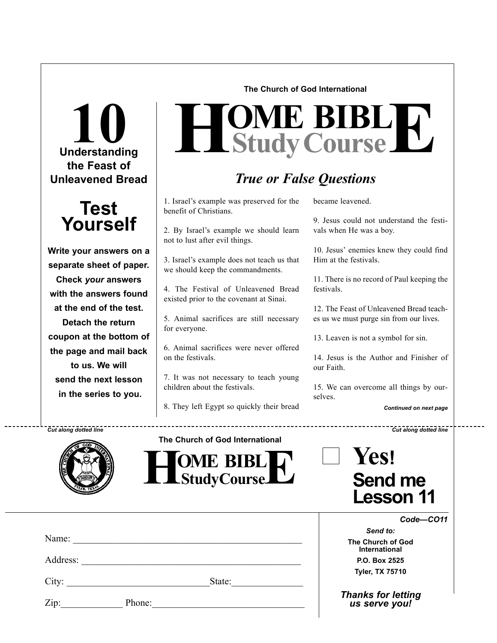## **Understanding 10 the Feast of Unleavened Bread**



**Write your answers on a separate sheet of paper. Check** *your* **answers with the answers found at the end of the test. Detach the return coupon at the bottom of the page and mail back to us. We will send the next lesson in the series to you.**

**The Church of God International**

# $H$ **Study Course**

## *True or False Questions*

1. Israel's example was preserved for the benefit of Christians.

2. By Israel's example we should learn not to lust after evil things.

3. Israel's example does not teach us that we should keep the commandments.

4. The Festival of Unleavened Bread existed prior to the covenant at Sinai.

5. Animal sacrifices are still necessary for everyone.

6. Animal sacrifices were never offered on the festivals.

7. It was not necessary to teach young children about the festivals.

8. They left Egypt so quickly their bread

became leavened.

------------------

9. Jesus could not understand the festivals when He was a boy.

10. Jesus' enemies knew they could find Him at the festivals.

11. There is no record of Paul keeping the festivals.

12. The Feast of Unleavened Bread teaches us we must purge sin from our lives.

13. Leaven is not a symbol for sin.

14. Jesus is the Author and Finisher of our Faith.

15. We can overcome all things by ourselves.

*Continued on next page*

*Cut along dotted line Cut along dotted line*



**The Church of God International**



| Yes!                               |  |
|------------------------------------|--|
| <b>Send me</b><br><b>Lesson 11</b> |  |

*Code—CO11*

*Send to:* **The Church of God International P.O. Box 2525 Tyler, TX 75710**

*Thanks for letting us serve you!*

| アルトリン<br>ľ<br>ಸರಾಜ<br>s |  |
|-------------------------|--|
| z                       |  |

Name:

Address:

Zip: Phone:

City: State: